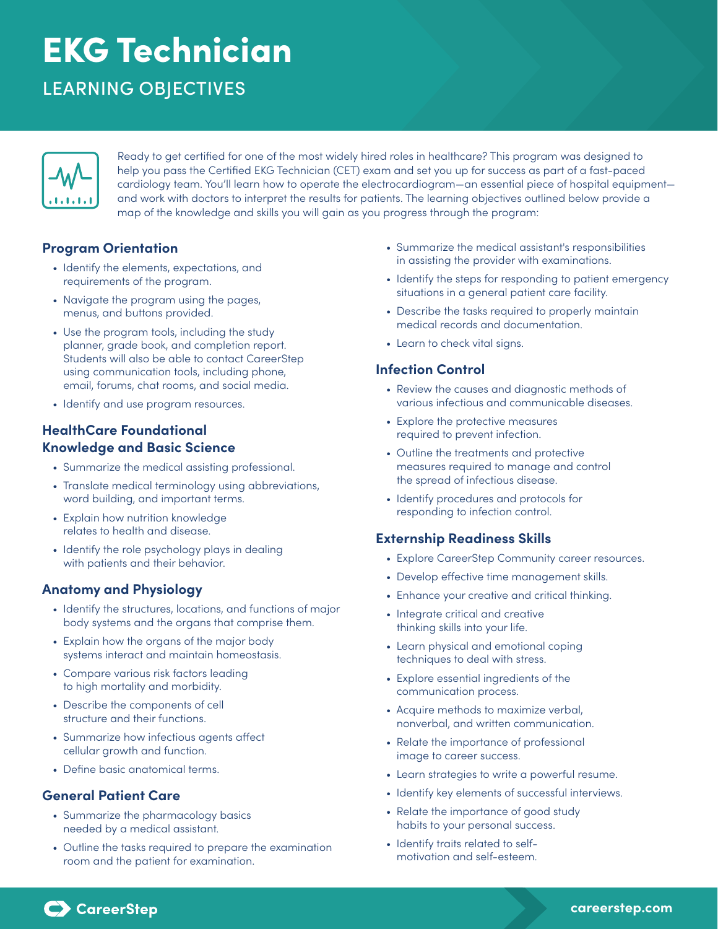# EKG Technician

# LEARNING OBJECTIVES



Ready to get certified for one of the most widely hired roles in healthcare? This program was designed to help you pass the Certified EKG Technician (CET) exam and set you up for success as part of a fast-paced cardiology team. You'll learn how to operate the electrocardiogram—an essential piece of hospital equipment and work with doctors to interpret the results for patients. The learning objectives outlined below provide a map of the knowledge and skills you will gain as you progress through the program:

#### **Program Orientation**

- Identify the elements, expectations, and requirements of the program.
- Navigate the program using the pages, menus, and buttons provided.
- Use the program tools, including the study planner, grade book, and completion report. Students will also be able to contact CareerStep using communication tools, including phone, email, forums, chat rooms, and social media.
- Identify and use program resources.

# **HealthCare Foundational Knowledge and Basic Science**

- Summarize the medical assisting professional.
- Translate medical terminology using abbreviations, word building, and important terms.
- Explain how nutrition knowledge relates to health and disease.
- Identify the role psychology plays in dealing with patients and their behavior.

# **Anatomy and Physiology**

- Identify the structures, locations, and functions of major body systems and the organs that comprise them.
- Explain how the organs of the major body systems interact and maintain homeostasis.
- Compare various risk factors leading to high mortality and morbidity.
- Describe the components of cell structure and their functions.
- Summarize how infectious agents affect cellular growth and function.
- Define basic anatomical terms.

#### **General Patient Care**

- Summarize the pharmacology basics needed by a medical assistant.
- Outline the tasks required to prepare the examination room and the patient for examination.
- Summarize the medical assistant's responsibilities in assisting the provider with examinations.
- Identify the steps for responding to patient emergency situations in a general patient care facility.
- Describe the tasks required to properly maintain medical records and documentation.
- Learn to check vital signs.

#### **Infection Control**

- Review the causes and diagnostic methods of various infectious and communicable diseases.
- Explore the protective measures required to prevent infection.
- Outline the treatments and protective measures required to manage and control the spread of infectious disease.
- Identify procedures and protocols for responding to infection control.

#### **Externship Readiness Skills**

- Explore CareerStep Community career resources.
- Develop effective time management skills.
- Enhance your creative and critical thinking.
- Integrate critical and creative thinking skills into your life.
- Learn physical and emotional coping techniques to deal with stress.
- Explore essential ingredients of the communication process.
- Acquire methods to maximize verbal, nonverbal, and written communication.
- Relate the importance of professional image to career success.
- Learn strategies to write a powerful resume.
- Identify key elements of successful interviews.
- Relate the importance of good study habits to your personal success.
- Identify traits related to selfmotivation and self-esteem.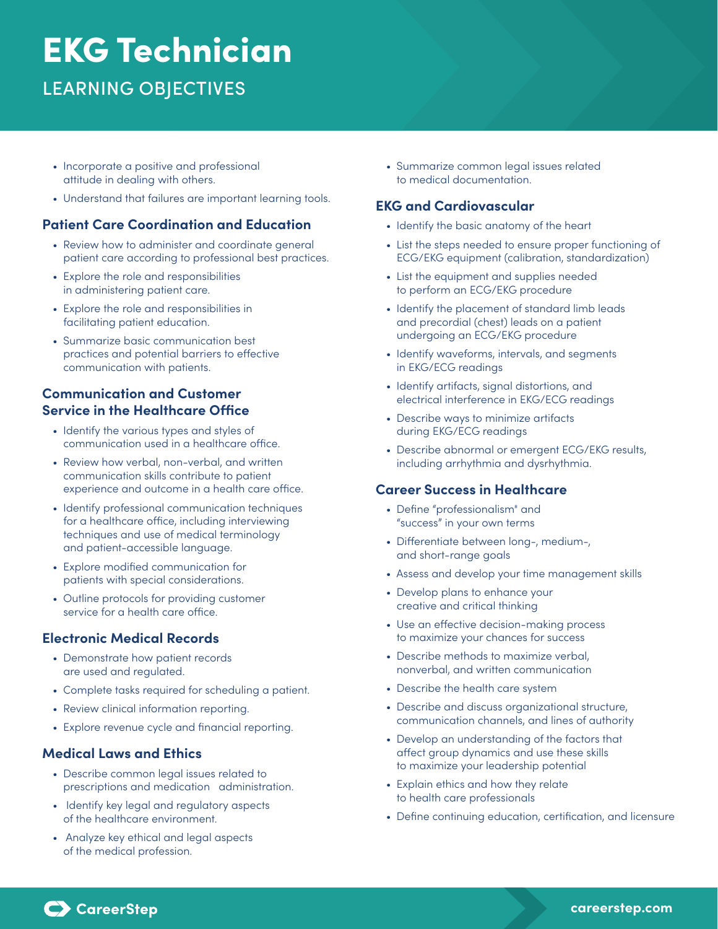# EKG Technician

LEARNING OBJECTIVES

- Incorporate a positive and professional attitude in dealing with others.
- Understand that failures are important learning tools.

### **Patient Care Coordination and Education**

- Review how to administer and coordinate general patient care according to professional best practices.
- Explore the role and responsibilities in administering patient care.
- Explore the role and responsibilities in facilitating patient education.
- Summarize basic communication best practices and potential barriers to effective communication with patients.

# **Communication and Customer Service in the Healthcare Office**

- Identify the various types and styles of communication used in a healthcare office.
- Review how verbal, non-verbal, and written communication skills contribute to patient experience and outcome in a health care office.
- Identify professional communication techniques for a healthcare office, including interviewing techniques and use of medical terminology and patient-accessible language.
- Explore modified communication for patients with special considerations.
- Outline protocols for providing customer service for a health care office.

#### **Electronic Medical Records**

- Demonstrate how patient records are used and regulated.
- Complete tasks required for scheduling a patient.
- Review clinical information reporting.
- Explore revenue cycle and financial reporting.

#### **Medical Laws and Ethics**

- Describe common legal issues related to prescriptions and medication administration.
- Identify key legal and regulatory aspects of the healthcare environment.
- Analyze key ethical and legal aspects of the medical profession.

• Summarize common legal issues related to medical documentation.

#### **EKG and Cardiovascular**

- Identify the basic anatomy of the heart
- List the steps needed to ensure proper functioning of ECG/EKG equipment (calibration, standardization)
- List the equipment and supplies needed to perform an ECG/EKG procedure
- Identify the placement of standard limb leads and precordial (chest) leads on a patient undergoing an ECG/EKG procedure
- Identify waveforms, intervals, and segments in EKG/ECG readings
- Identify artifacts, signal distortions, and electrical interference in EKG/ECG readings
- Describe ways to minimize artifacts during EKG/ECG readings
- Describe abnormal or emergent ECG/EKG results, including arrhythmia and dysrhythmia.

#### **Career Success in Healthcare**

- Define "professionalism" and "success" in your own terms
- Differentiate between long-, medium-, and short-range goals
- Assess and develop your time management skills
- Develop plans to enhance your creative and critical thinking
- Use an effective decision-making process to maximize your chances for success
- Describe methods to maximize verbal, nonverbal, and written communication
- Describe the health care system
- Describe and discuss organizational structure, communication channels, and lines of authority
- Develop an understanding of the factors that affect group dynamics and use these skills to maximize your leadership potential
- Explain ethics and how they relate to health care professionals
- Define continuing education, certification, and licensure